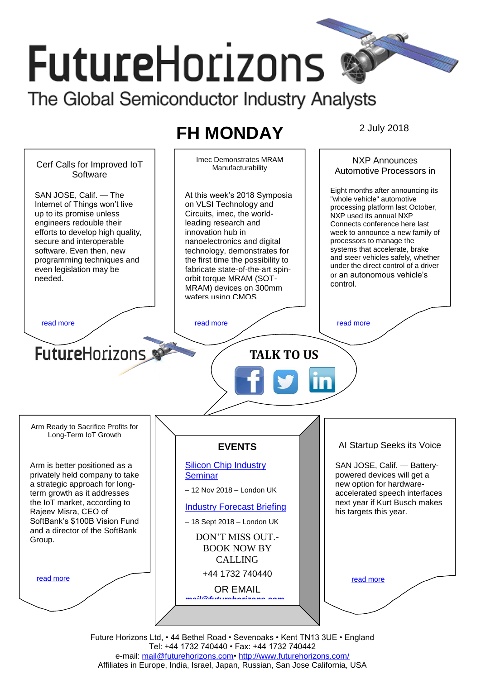# **FutureHorizons** The Global Semiconductor Industry Analysts

# **FH MONDAY** 2 July 2018



Future Horizons Ltd, • 44 Bethel Road • Sevenoaks • Kent TN13 3UE • England Tel: +44 1732 740440 • Fax: +44 1732 740442 e-mail: [mail@futurehorizons.com•](../FH%20Monday%20-%202017/mail@futurehorizons.com)<http://www.futurehorizons.com/> Affiliates in Europe, India, Israel, Japan, Russian, San Jose California, USA